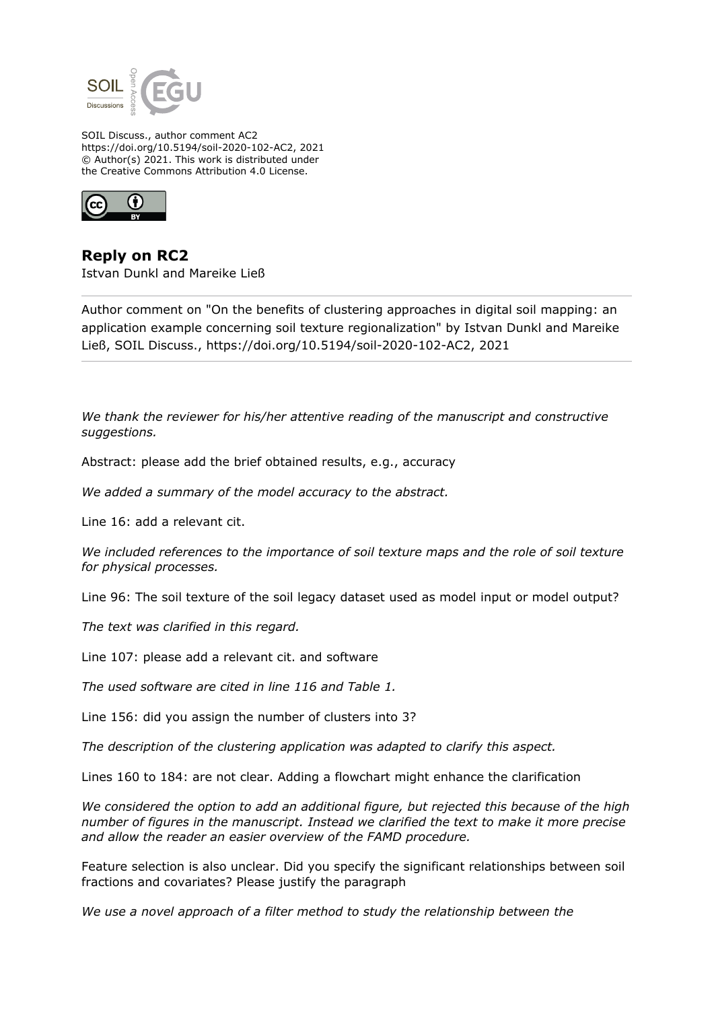

SOIL Discuss., author comment AC2 https://doi.org/10.5194/soil-2020-102-AC2, 2021 © Author(s) 2021. This work is distributed under the Creative Commons Attribution 4.0 License.



**Reply on RC2** Istvan Dunkl and Mareike Ließ

Author comment on "On the benefits of clustering approaches in digital soil mapping: an application example concerning soil texture regionalization" by Istvan Dunkl and Mareike Ließ, SOIL Discuss., https://doi.org/10.5194/soil-2020-102-AC2, 2021

*We thank the reviewer for his/her attentive reading of the manuscript and constructive suggestions.*

Abstract: please add the brief obtained results, e.g., accuracy

*We added a summary of the model accuracy to the abstract.*

Line 16: add a relevant cit.

*We included references to the importance of soil texture maps and the role of soil texture for physical processes.*

Line 96: The soil texture of the soil legacy dataset used as model input or model output?

*The text was clarified in this regard.*

Line 107: please add a relevant cit. and software

*The used software are cited in line 116 and Table 1.*

Line 156: did you assign the number of clusters into 3?

*The description of the clustering application was adapted to clarify this aspect.*

Lines 160 to 184: are not clear. Adding a flowchart might enhance the clarification

*We considered the option to add an additional figure, but rejected this because of the high number of figures in the manuscript. Instead we clarified the text to make it more precise and allow the reader an easier overview of the FAMD procedure.*

Feature selection is also unclear. Did you specify the significant relationships between soil fractions and covariates? Please justify the paragraph

*We use a novel approach of a filter method to study the relationship between the*